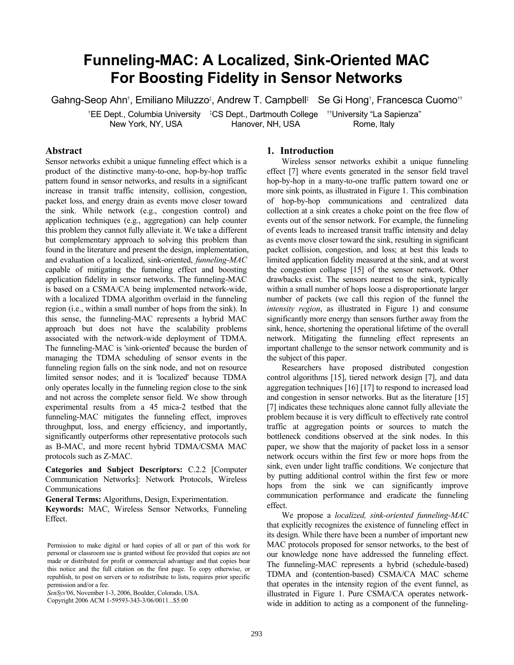# **Funneling-MAC: A Localized, Sink-Oriented MAC For Boosting Fidelity in Sensor Networks**

Gahng-Seop Ahn<sup>†</sup>, Emiliano Miluzzo<sup>‡</sup>, Andrew T. Campbell‡ Se Gi Hong†, Francesca Cuomo<sup>††</sup>

<sup>†</sup>EE Dept., Columbia University <sup>t</sup>CS Dept., Dartmouth College <sup>th</sup>University "La Sapienza" New York, NY, USA Hanover, NH, USA Rome, Italy

## **Abstract**

Sensor networks exhibit a unique funneling effect which is a product of the distinctive many-to-one, hop-by-hop traffic pattern found in sensor networks, and results in a significant increase in transit traffic intensity, collision, congestion, packet loss, and energy drain as events move closer toward the sink. While network (e.g., congestion control) and application techniques (e.g., aggregation) can help counter this problem they cannot fully alleviate it. We take a different but complementary approach to solving this problem than found in the literature and present the design, implementation, and evaluation of a localized, sink-oriented, *funneling-MAC* capable of mitigating the funneling effect and boosting application fidelity in sensor networks. The funneling-MAC is based on a CSMA/CA being implemented network-wide, with a localized TDMA algorithm overlaid in the funneling region (i.e., within a small number of hops from the sink). In this sense, the funneling-MAC represents a hybrid MAC approach but does not have the scalability problems associated with the network-wide deployment of TDMA. The funneling-MAC is 'sink-oriented' because the burden of managing the TDMA scheduling of sensor events in the funneling region falls on the sink node, and not on resource limited sensor nodes; and it is 'localized' because TDMA only operates locally in the funneling region close to the sink and not across the complete sensor field. We show through experimental results from a 45 mica-2 testbed that the funneling-MAC mitigates the funneling effect, improves throughput, loss, and energy efficiency, and importantly, significantly outperforms other representative protocols such as B-MAC, and more recent hybrid TDMA/CSMA MAC protocols such as Z-MAC.

**Categories and Subject Descriptors:** C.2.2 [Computer Communication Networks]: Network Protocols, Wireless Communications

**General Terms:** Algorithms, Design, Experimentation.

**Keywords:** MAC, Wireless Sensor Networks, Funneling Effect.

*SenSys'06*, November 1-3, 2006, Boulder, Colorado, USA.

Copyright 2006 ACM 1-59593-343-3/06/0011...\$5.00

#### **1. Introduction**

Wireless sensor networks exhibit a unique funneling effect [7] where events generated in the sensor field travel hop-by-hop in a many-to-one traffic pattern toward one or more sink points, as illustrated in Figure 1. This combination of hop-by-hop communications and centralized data collection at a sink creates a choke point on the free flow of events out of the sensor network. For example, the funneling of events leads to increased transit traffic intensity and delay as events move closer toward the sink, resulting in significant packet collision, congestion, and loss; at best this leads to limited application fidelity measured at the sink, and at worst the congestion collapse [15] of the sensor network. Other drawbacks exist. The sensors nearest to the sink, typically within a small number of hops loose a disproportionate larger number of packets (we call this region of the funnel the *intensity region*, as illustrated in Figure 1) and consume significantly more energy than sensors further away from the sink, hence, shortening the operational lifetime of the overall network. Mitigating the funneling effect represents an important challenge to the sensor network community and is the subject of this paper.

Researchers have proposed distributed congestion control algorithms [15], tiered network design [7], and data aggregation techniques [16] [17] to respond to increased load and congestion in sensor networks. But as the literature [15] [7] indicates these techniques alone cannot fully alleviate the problem because it is very difficult to effectively rate control traffic at aggregation points or sources to match the bottleneck conditions observed at the sink nodes. In this paper, we show that the majority of packet loss in a sensor network occurs within the first few or more hops from the sink, even under light traffic conditions. We conjecture that by putting additional control within the first few or more hops from the sink we can significantly improve communication performance and eradicate the funneling effect.

We propose a *localized, sink-oriented funneling-MAC*  that explicitly recognizes the existence of funneling effect in its design. While there have been a number of important new MAC protocols proposed for sensor networks, to the best of our knowledge none have addressed the funneling effect. The funneling-MAC represents a hybrid (schedule-based) TDMA and (contention-based) CSMA/CA MAC scheme that operates in the intensity region of the event funnel, as illustrated in Figure 1. Pure CSMA/CA operates networkwide in addition to acting as a component of the funneling-

Permission to make digital or hard copies of all or part of this work for personal or classroom use is granted without fee provided that copies are not made or distributed for profit or commercial advantage and that copies bear this notice and the full citation on the first page. To copy otherwise, or republish, to post on servers or to redistribute to lists, requires prior specific permission and/or a fee.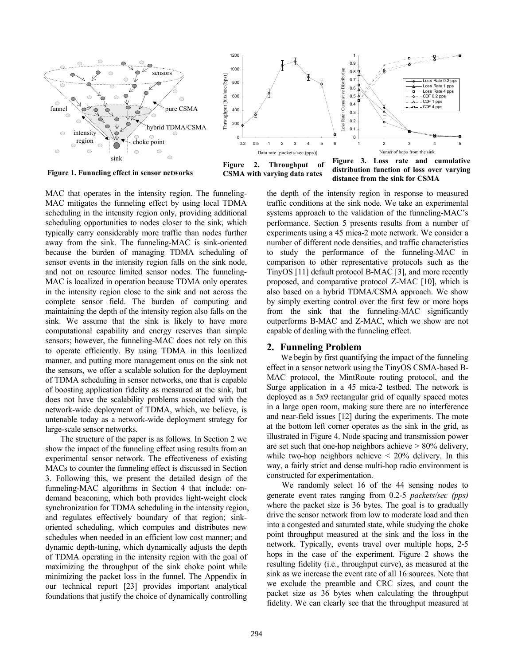

Figure 1. Funneling effect in sensor networks **CSMA** with varying data rates



**distribution function of loss over varying distance from the sink for CSMA**

MAC that operates in the intensity region. The funneling-MAC mitigates the funneling effect by using local TDMA scheduling in the intensity region only, providing additional scheduling opportunities to nodes closer to the sink, which typically carry considerably more traffic than nodes further away from the sink. The funneling-MAC is sink-oriented because the burden of managing TDMA scheduling of sensor events in the intensity region falls on the sink node, and not on resource limited sensor nodes. The funneling-MAC is localized in operation because TDMA only operates in the intensity region close to the sink and not across the complete sensor field. The burden of computing and maintaining the depth of the intensity region also falls on the sink. We assume that the sink is likely to have more computational capability and energy reserves than simple sensors; however, the funneling-MAC does not rely on this to operate efficiently. By using TDMA in this localized manner, and putting more management onus on the sink not the sensors, we offer a scalable solution for the deployment of TDMA scheduling in sensor networks, one that is capable of boosting application fidelity as measured at the sink, but does not have the scalability problems associated with the network-wide deployment of TDMA, which, we believe, is untenable today as a network-wide deployment strategy for large-scale sensor networks.

The structure of the paper is as follows. In Section 2 we show the impact of the funneling effect using results from an experimental sensor network. The effectiveness of existing MACs to counter the funneling effect is discussed in Section 3. Following this, we present the detailed design of the funneling-MAC algorithms in Section 4 that include: ondemand beaconing, which both provides light-weight clock synchronization for TDMA scheduling in the intensity region, and regulates effectively boundary of that region; sinkoriented scheduling, which computes and distributes new schedules when needed in an efficient low cost manner; and dynamic depth-tuning, which dynamically adjusts the depth of TDMA operating in the intensity region with the goal of maximizing the throughput of the sink choke point while minimizing the packet loss in the funnel. The Appendix in our technical report [23] provides important analytical foundations that justify the choice of dynamically controlling

the depth of the intensity region in response to measured traffic conditions at the sink node. We take an experimental systems approach to the validation of the funneling-MAC's performance. Section 5 presents results from a number of experiments using a 45 mica-2 mote network. We consider a number of different node densities, and traffic characteristics to study the performance of the funneling-MAC in comparison to other representative protocols such as the TinyOS [11] default protocol B-MAC [3], and more recently proposed, and comparative protocol Z-MAC [10], which is also based on a hybrid TDMA/CSMA approach. We show by simply exerting control over the first few or more hops from the sink that the funneling-MAC significantly outperforms B-MAC and Z-MAC, which we show are not capable of dealing with the funneling effect.

## **2. Funneling Problem**

We begin by first quantifying the impact of the funneling effect in a sensor network using the TinyOS CSMA-based B-MAC protocol, the MintRoute routing protocol, and the Surge application in a 45 mica-2 testbed. The network is deployed as a 5x9 rectangular grid of equally spaced motes in a large open room, making sure there are no interference and near-field issues [12] during the experiments. The mote at the bottom left corner operates as the sink in the grid, as illustrated in Figure 4. Node spacing and transmission power are set such that one-hop neighbors achieve > 80% delivery, while two-hop neighbors achieve  $\leq 20\%$  delivery. In this way, a fairly strict and dense multi-hop radio environment is constructed for experimentation.

We randomly select 16 of the 44 sensing nodes to generate event rates ranging from 0.2-5 *packets/sec (pps)* where the packet size is 36 bytes. The goal is to gradually drive the sensor network from low to moderate load and then into a congested and saturated state, while studying the choke point throughput measured at the sink and the loss in the network. Typically, events travel over multiple hops, 2-5 hops in the case of the experiment. Figure 2 shows the resulting fidelity (i.e., throughput curve), as measured at the sink as we increase the event rate of all 16 sources. Note that we exclude the preamble and CRC sizes, and count the packet size as 36 bytes when calculating the throughput fidelity. We can clearly see that the throughput measured at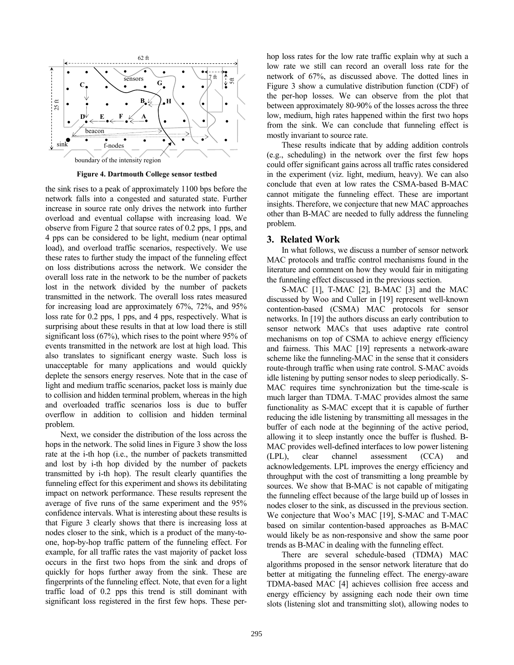

**Figure 4. Dartmouth College sensor testbed** 

the sink rises to a peak of approximately 1100 bps before the network falls into a congested and saturated state. Further increase in source rate only drives the network into further overload and eventual collapse with increasing load. We observe from Figure 2 that source rates of 0.2 pps, 1 pps, and 4 pps can be considered to be light, medium (near optimal load), and overload traffic scenarios, respectively. We use these rates to further study the impact of the funneling effect on loss distributions across the network. We consider the overall loss rate in the network to be the number of packets lost in the network divided by the number of packets transmitted in the network. The overall loss rates measured for increasing load are approximately 67%, 72%, and 95% loss rate for 0.2 pps, 1 pps, and 4 pps, respectively. What is surprising about these results in that at low load there is still significant loss (67%), which rises to the point where 95% of events transmitted in the network are lost at high load. This also translates to significant energy waste. Such loss is unacceptable for many applications and would quickly deplete the sensors energy reserves. Note that in the case of light and medium traffic scenarios, packet loss is mainly due to collision and hidden terminal problem, whereas in the high and overloaded traffic scenarios loss is due to buffer overflow in addition to collision and hidden terminal problem.

Next, we consider the distribution of the loss across the hops in the network. The solid lines in Figure 3 show the loss rate at the i-th hop (i.e., the number of packets transmitted and lost by i-th hop divided by the number of packets transmitted by i-th hop). The result clearly quantifies the funneling effect for this experiment and shows its debilitating impact on network performance. These results represent the average of five runs of the same experiment and the 95% confidence intervals. What is interesting about these results is that Figure 3 clearly shows that there is increasing loss at nodes closer to the sink, which is a product of the many-toone, hop-by-hop traffic pattern of the funneling effect. For example, for all traffic rates the vast majority of packet loss occurs in the first two hops from the sink and drops of quickly for hops further away from the sink. These are fingerprints of the funneling effect. Note, that even for a light traffic load of 0.2 pps this trend is still dominant with significant loss registered in the first few hops. These perhop loss rates for the low rate traffic explain why at such a low rate we still can record an overall loss rate for the network of 67%, as discussed above. The dotted lines in Figure 3 show a cumulative distribution function (CDF) of the per-hop losses. We can observe from the plot that between approximately 80-90% of the losses across the three low, medium, high rates happened within the first two hops from the sink. We can conclude that funneling effect is mostly invariant to source rate.

These results indicate that by adding addition controls (e.g., scheduling) in the network over the first few hops could offer significant gains across all traffic rates considered in the experiment (viz. light, medium, heavy). We can also conclude that even at low rates the CSMA-based B-MAC cannot mitigate the funneling effect. These are important insights. Therefore, we conjecture that new MAC approaches other than B-MAC are needed to fully address the funneling problem.

#### **3. Related Work**

In what follows, we discuss a number of sensor network MAC protocols and traffic control mechanisms found in the literature and comment on how they would fair in mitigating the funneling effect discussed in the previous section.

S-MAC [1], T-MAC [2], B-MAC [3] and the MAC discussed by Woo and Culler in [19] represent well-known contention-based (CSMA) MAC protocols for sensor networks. In [19] the authors discuss an early contribution to sensor network MACs that uses adaptive rate control mechanisms on top of CSMA to achieve energy efficiency and fairness. This MAC [19] represents a network-aware scheme like the funneling-MAC in the sense that it considers route-through traffic when using rate control. S-MAC avoids idle listening by putting sensor nodes to sleep periodically. S-MAC requires time synchronization but the time-scale is much larger than TDMA. T-MAC provides almost the same functionality as S-MAC except that it is capable of further reducing the idle listening by transmitting all messages in the buffer of each node at the beginning of the active period, allowing it to sleep instantly once the buffer is flushed. B-MAC provides well-defined interfaces to low power listening (LPL), clear channel assessment (CCA) and acknowledgements. LPL improves the energy efficiency and throughput with the cost of transmitting a long preamble by sources. We show that B-MAC is not capable of mitigating the funneling effect because of the large build up of losses in nodes closer to the sink, as discussed in the previous section. We conjecture that Woo's MAC [19], S-MAC and T-MAC based on similar contention-based approaches as B-MAC would likely be as non-responsive and show the same poor trends as B-MAC in dealing with the funneling effect.

There are several schedule-based (TDMA) MAC algorithms proposed in the sensor network literature that do better at mitigating the funneling effect. The energy-aware TDMA-based MAC [4] achieves collision free access and energy efficiency by assigning each node their own time slots (listening slot and transmitting slot), allowing nodes to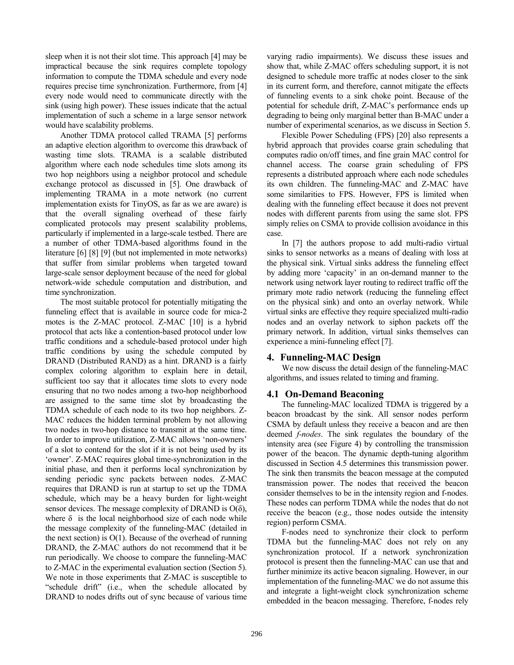sleep when it is not their slot time. This approach [4] may be impractical because the sink requires complete topology information to compute the TDMA schedule and every node requires precise time synchronization. Furthermore, from [4] every node would need to communicate directly with the sink (using high power). These issues indicate that the actual implementation of such a scheme in a large sensor network would have scalability problems.

Another TDMA protocol called TRAMA [5] performs an adaptive election algorithm to overcome this drawback of wasting time slots. TRAMA is a scalable distributed algorithm where each node schedules time slots among its two hop neighbors using a neighbor protocol and schedule exchange protocol as discussed in [5]. One drawback of implementing TRAMA in a mote network (no current implementation exists for TinyOS, as far as we are aware) is that the overall signaling overhead of these fairly complicated protocols may present scalability problems, particularly if implemented in a large-scale testbed. There are a number of other TDMA-based algorithms found in the literature [6] [8] [9] (but not implemented in mote networks) that suffer from similar problems when targeted toward large-scale sensor deployment because of the need for global network-wide schedule computation and distribution, and time synchronization.

The most suitable protocol for potentially mitigating the funneling effect that is available in source code for mica-2 motes is the Z-MAC protocol. Z-MAC [10] is a hybrid protocol that acts like a contention-based protocol under low traffic conditions and a schedule-based protocol under high traffic conditions by using the schedule computed by DRAND (Distributed RAND) as a hint. DRAND is a fairly complex coloring algorithm to explain here in detail, sufficient too say that it allocates time slots to every node ensuring that no two nodes among a two-hop neighborhood are assigned to the same time slot by broadcasting the TDMA schedule of each node to its two hop neighbors. Z-MAC reduces the hidden terminal problem by not allowing two nodes in two-hop distance to transmit at the same time. In order to improve utilization, Z-MAC allows 'non-owners' of a slot to contend for the slot if it is not being used by its 'owner'. Z-MAC requires global time-synchronization in the initial phase, and then it performs local synchronization by sending periodic sync packets between nodes. Z-MAC requires that DRAND is run at startup to set up the TDMA schedule, which may be a heavy burden for light-weight sensor devices. The message complexity of DRAND is  $O(\delta)$ , where  $\delta$  is the local neighborhood size of each node while the message complexity of the funneling-MAC (detailed in the next section) is  $O(1)$ . Because of the overhead of running DRAND, the Z-MAC authors do not recommend that it be run periodically. We choose to compare the funneling-MAC to Z-MAC in the experimental evaluation section (Section 5). We note in those experiments that Z-MAC is susceptible to "schedule drift" (i.e., when the schedule allocated by DRAND to nodes drifts out of sync because of various time

varying radio impairments). We discuss these issues and show that, while Z-MAC offers scheduling support, it is not designed to schedule more traffic at nodes closer to the sink in its current form, and therefore, cannot mitigate the effects of funneling events to a sink choke point. Because of the potential for schedule drift, Z-MAC's performance ends up degrading to being only marginal better than B-MAC under a number of experimental scenarios, as we discuss in Section 5.

Flexible Power Scheduling (FPS) [20] also represents a hybrid approach that provides coarse grain scheduling that computes radio on/off times, and fine grain MAC control for channel access. The coarse grain scheduling of FPS represents a distributed approach where each node schedules its own children. The funneling-MAC and Z-MAC have some similarities to FPS. However, FPS is limited when dealing with the funneling effect because it does not prevent nodes with different parents from using the same slot. FPS simply relies on CSMA to provide collision avoidance in this case.

In [7] the authors propose to add multi-radio virtual sinks to sensor networks as a means of dealing with loss at the physical sink. Virtual sinks address the funneling effect by adding more 'capacity' in an on-demand manner to the network using network layer routing to redirect traffic off the primary mote radio network (reducing the funneling effect on the physical sink) and onto an overlay network. While virtual sinks are effective they require specialized multi-radio nodes and an overlay network to siphon packets off the primary network. In addition, virtual sinks themselves can experience a mini-funneling effect [7].

# **4. Funneling-MAC Design**

We now discuss the detail design of the funneling-MAC algorithms, and issues related to timing and framing.

# **4.1 On-Demand Beaconing**

The funneling-MAC localized TDMA is triggered by a beacon broadcast by the sink. All sensor nodes perform CSMA by default unless they receive a beacon and are then deemed *f-nodes*. The sink regulates the boundary of the intensity area (see Figure 4) by controlling the transmission power of the beacon. The dynamic depth-tuning algorithm discussed in Section 4.5 determines this transmission power. The sink then transmits the beacon message at the computed transmission power. The nodes that received the beacon consider themselves to be in the intensity region and f-nodes. These nodes can perform TDMA while the nodes that do not receive the beacon (e.g., those nodes outside the intensity region) perform CSMA.

F-nodes need to synchronize their clock to perform TDMA but the funneling-MAC does not rely on any synchronization protocol. If a network synchronization protocol is present then the funneling-MAC can use that and further minimize its active beacon signaling. However, in our implementation of the funneling-MAC we do not assume this and integrate a light-weight clock synchronization scheme embedded in the beacon messaging. Therefore, f-nodes rely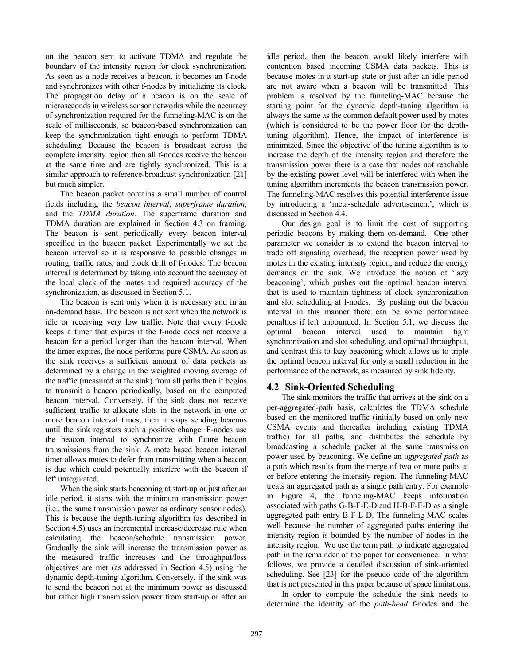on the beacon sent to activate TDMA and regulate the boundary of the intensity region for clock synchronization. As soon as a node receives a beacon, it becomes an f-node and synchronizes with other f-nodes by initializing its clock. The propagation delay of a beacon is on the scale of microseconds in wireless sensor networks while the accuracy of synchronization required for the funneling-MAC is on the scale of milliseconds, so beacon-based synchronization can keep the synchronization tight enough to perform TDMA scheduling. Because the beacon is broadcast across the complete intensity region then all f-nodes receive the beacon at the same time and are tightly synchronized. This is a similar approach to reference-broadcast synchronization [21] but much simpler.

The beacon packet contains a small number of control fields including the *beacon interval*, *superframe duration*, and the *TDMA duration*. The superframe duration and TDMA duration are explained in Section 4.3 on framing. The beacon is sent periodically every beacon interval specified in the beacon packet. Experimentally we set the beacon interval so it is responsive to possible changes in routing, traffic rates, and clock drift of f-nodes. The beacon interval is determined by taking into account the accuracy of the local clock of the motes and required accuracy of the synchronization, as discussed in Section 5.1.

The beacon is sent only when it is necessary and in an on-demand basis. The beacon is not sent when the network is idle or receiving very low traffic. Note that every f-node keeps a timer that expires if the f-node does not receive a beacon for a period longer than the beacon interval. When the timer expires, the node performs pure CSMA. As soon as the sink receives a sufficient amount of data packets as determined by a change in the weighted moving average of the traffic (measured at the sink) from all paths then it begins to transmit a beacon periodically, based on the computed beacon interval. Conversely, if the sink does not receive sufficient traffic to allocate slots in the network in one or more beacon interval times, then it stops sending beacons until the sink registers such a positive change. F-nodes use the beacon interval to synchronize with future beacon transmissions from the sink. A mote based beacon interval timer allows motes to defer from transmitting when a beacon is due which could potentially interfere with the beacon if left unregulated.

When the sink starts beaconing at start-up or just after an idle period, it starts with the minimum transmission power (i.e., the same transmission power as ordinary sensor nodes). This is because the depth-tuning algorithm (as described in Section 4.5) uses an incremental increase/decrease rule when calculating the beacon/schedule transmission power. Gradually the sink will increase the transmission power as the measured traffic increases and the throughput/loss objectives are met (as addressed in Section 4.5) using the dynamic depth-tuning algorithm. Conversely, if the sink was to send the beacon not at the minimum power as discussed but rather high transmission power from start-up or after an

idle period, then the beacon would likely interfere with contention based incoming CSMA data packets. This is because motes in a start-up state or just after an idle period are not aware when a beacon will be transmitted. This problem is resolved by the funneling-MAC because the starting point for the dynamic depth-tuning algorithm is always the same as the common default power used by motes (which is considered to be the power floor for the depthtuning algorithm). Hence, the impact of interference is minimized. Since the objective of the tuning algorithm is to increase the depth of the intensity region and therefore the transmission power there is a case that nodes not reachable by the existing power level will be interfered with when the tuning algorithm increments the beacon transmission power. The funneling-MAC resolves this potential interference issue by introducing a 'meta-schedule advertisement', which is discussed in Section 4.4.

Our design goal is to limit the cost of supporting periodic beacons by making them on-demand. One other parameter we consider is to extend the beacon interval to trade off signaling overhead, the reception power used by motes in the existing intensity region, and reduce the energy demands on the sink. We introduce the notion of 'lazy beaconing', which pushes out the optimal beacon interval that is used to maintain tightness of clock synchronization and slot scheduling at f-nodes. By pushing out the beacon interval in this manner there can be some performance penalties if left unbounded. In Section 5.1, we discuss the optimal beacon interval used to maintain tight synchronization and slot scheduling, and optimal throughput, and contrast this to lazy beaconing which allows us to triple the optimal beacon interval for only a small reduction in the performance of the network, as measured by sink fidelity.

## **4.2 Sink-Oriented Scheduling**

The sink monitors the traffic that arrives at the sink on a per-aggregated-path basis, calculates the TDMA schedule based on the monitored traffic (initially based on only new CSMA events and thereafter including existing TDMA traffic) for all paths, and distributes the schedule by broadcasting a schedule packet at the same transmission power used by beaconing. We define an *aggregated path* as a path which results from the merge of two or more paths at or before entering the intensity region. The funneling-MAC treats an aggregated path as a single path entry. For example in Figure 4, the funneling-MAC keeps information associated with paths G-B-F-E-D and H-B-F-E-D as a single aggregated path entry B-F-E-D. The funneling-MAC scales well because the number of aggregated paths entering the intensity region is bounded by the number of nodes in the intensity region. We use the term path to indicate aggregated path in the remainder of the paper for convenience. In what follows, we provide a detailed discussion of sink-oriented scheduling. See [23] for the pseudo code of the algorithm that is not presented in this paper because of space limitations.

In order to compute the schedule the sink needs to determine the identity of the *path-head* f-nodes and the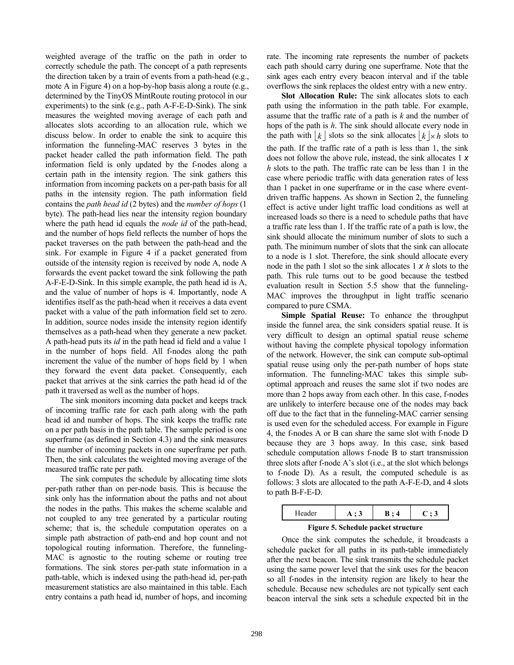weighted average of the traffic on the path in order to correctly schedule the path. The concept of a path represents the direction taken by a train of events from a path-head (e.g., mote A in Figure 4) on a hop-by-hop basis along a route (e.g., determined by the TinyOS MintRoute routing protocol in our experiments) to the sink (e.g., path A-F-E-D-Sink). The sink measures the weighted moving average of each path and allocates slots according to an allocation rule, which we discuss below. In order to enable the sink to acquire this information the funneling-MAC reserves 3 bytes in the packet header called the path information field. The path information field is only updated by the f-nodes along a certain path in the intensity region. The sink gathers this information from incoming packets on a per-path basis for all paths in the intensity region. The path information field contains the *path head id* (2 bytes) and the *number of hops* (1 byte). The path-head lies near the intensity region boundary where the path head id equals the *node id* of the path-head, and the number of hops field reflects the number of hops the packet traverses on the path between the path-head and the sink. For example in Figure 4 if a packet generated from outside of the intensity region is received by node A, node A forwards the event packet toward the sink following the path A-F-E-D-Sink. In this simple example, the path head id is A, and the value of number of hops is 4. Importantly, node A identifies itself as the path-head when it receives a data event packet with a value of the path information field set to zero. In addition, source nodes inside the intensity region identify themselves as a path-head when they generate a new packet. A path-head puts its *id* in the path head id field and a value 1 in the number of hops field. All f-nodes along the path increment the value of the number of hops field by 1 when they forward the event data packet. Consequently, each packet that arrives at the sink carries the path head id of the path it traversed as well as the number of hops.

The sink monitors incoming data packet and keeps track of incoming traffic rate for each path along with the path head id and number of hops. The sink keeps the traffic rate on a per path basis in the path table. The sample period is one superframe (as defined in Section 4.3) and the sink measures the number of incoming packets in one superframe per path. Then, the sink calculates the weighted moving average of the measured traffic rate per path.

The sink computes the schedule by allocating time slots per-path rather than on per-node basis. This is because the sink only has the information about the paths and not about the nodes in the paths. This makes the scheme scalable and not coupled to any tree generated by a particular routing scheme; that is, the schedule computation operates on a simple path abstraction of path-end and hop count and not topological routing information. Therefore, the funneling-MAC is agnostic to the routing scheme or routing tree formations. The sink stores per-path state information in a path-table, which is indexed using the path-head id, per-path measurement statistics are also maintained in this table. Each entry contains a path head id, number of hops, and incoming

rate. The incoming rate represents the number of packets each path should carry during one superframe. Note that the sink ages each entry every beacon interval and if the table overflows the sink replaces the oldest entry with a new entry.

**Slot Allocation Rule:** The sink allocates slots to each path using the information in the path table. For example, assume that the traffic rate of a path is *k* and the number of hops of the path is *h*. The sink should allocate every node in the path with  $k \, | \,$  slots so the sink allocates  $k \, | \, \times h$  slots to the path. If the traffic rate of a path is less than 1, the sink does not follow the above rule, instead, the sink allocates 1 *х h* slots to the path. The traffic rate can be less than 1 in the case where periodic traffic with data generation rates of less than 1 packet in one superframe or in the case where eventdriven traffic happens. As shown in Section 2, the funneling effect is active under light traffic load conditions as well at increased loads so there is a need to schedule paths that have a traffic rate less than 1. If the traffic rate of a path is low, the sink should allocate the minimum number of slots to such a path. The minimum number of slots that the sink can allocate to a node is 1 slot. Therefore, the sink should allocate every node in the path 1 slot so the sink allocates 1 *х h* slots to the path. This rule turns out to be good because the testbed evaluation result in Section 5.5 show that the funneling-MAC improves the throughput in light traffic scenario compared to pure CSMA.

**Simple Spatial Reuse:** To enhance the throughput inside the funnel area, the sink considers spatial reuse. It is very difficult to design an optimal spatial reuse scheme without having the complete physical topology information of the network. However, the sink can compute sub-optimal spatial reuse using only the per-path number of hops state information. The funneling-MAC takes this simple suboptimal approach and reuses the same slot if two nodes are more than 2 hops away from each other. In this case, f-nodes are unlikely to interfere because one of the nodes may back off due to the fact that in the funneling-MAC carrier sensing is used even for the scheduled access. For example in Figure 4, the f-nodes A or B can share the same slot with f-node D because they are 3 hops away. In this case, sink based schedule computation allows f-node B to start transmission three slots after f-node A's slot (i.e., at the slot which belongs to f-node D). As a result, the computed schedule is as follows: 3 slots are allocated to the path A-F-E-D, and 4 slots to path B-F-E-D.

| Header                                                   | いこう | 4 | J. |  |
|----------------------------------------------------------|-----|---|----|--|
| m.<br>$\alpha$ $\alpha$<br>$\overline{\phantom{0}}$<br>. |     |   |    |  |

**Figure 5. Schedule packet structure**

Once the sink computes the schedule, it broadcasts a schedule packet for all paths in its path-table immediately after the next beacon. The sink transmits the schedule packet using the same power level that the sink uses for the beacon so all f-nodes in the intensity region are likely to hear the schedule. Because new schedules are not typically sent each beacon interval the sink sets a schedule expected bit in the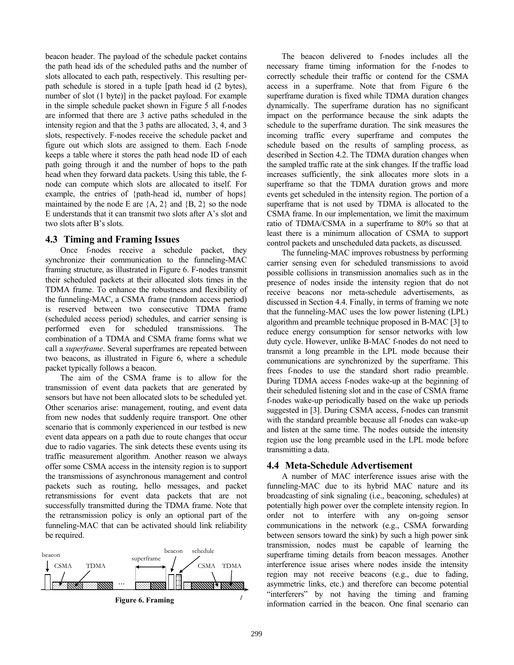beacon header. The payload of the schedule packet contains the path head ids of the scheduled paths and the number of slots allocated to each path, respectively. This resulting perpath schedule is stored in a tuple [path head id (2 bytes), number of slot (1 byte)] in the packet payload. For example in the simple schedule packet shown in Figure 5 all f-nodes are informed that there are 3 active paths scheduled in the intensity region and that the 3 paths are allocated, 3, 4, and 3 slots, respectively. F-nodes receive the schedule packet and figure out which slots are assigned to them. Each f-node keeps a table where it stores the path head node ID of each path going through it and the number of hops to the path head when they forward data packets. Using this table, the fnode can compute which slots are allocated to itself. For example, the entries of {path-head id, number of hops} maintained by the node E are  ${A, 2}$  and  ${B, 2}$  so the node E understands that it can transmit two slots after A's slot and two slots after B's slots.

## **4.3 Timing and Framing Issues**

Once f-nodes receive a schedule packet, they synchronize their communication to the funneling-MAC framing structure, as illustrated in Figure 6. F-nodes transmit their scheduled packets at their allocated slots times in the TDMA frame. To enhance the robustness and flexibility of the funneling-MAC, a CSMA frame (random access period) is reserved between two consecutive TDMA frame (scheduled access period) schedules, and carrier sensing is performed even for scheduled transmissions. The combination of a TDMA and CSMA frame forms what we call a *superframe*. Several superframes are repeated between two beacons, as illustrated in Figure 6, where a schedule packet typically follows a beacon.

The aim of the CSMA frame is to allow for the transmission of event data packets that are generated by sensors but have not been allocated slots to be scheduled yet. Other scenarios arise: management, routing, and event data from new nodes that suddenly require transport. One other scenario that is commonly experienced in our testbed is new event data appears on a path due to route changes that occur due to radio vagaries. The sink detects these events using its traffic measurement algorithm. Another reason we always offer some CSMA access in the intensity region is to support the transmissions of asynchronous management and control packets such as routing, hello messages, and packet retransmissions for event data packets that are not successfully transmitted during the TDMA frame. Note that the retransmission policy is only an optional part of the funneling-MAC that can be activated should link reliability be required.



The beacon delivered to f-nodes includes all the necessary frame timing information for the f-nodes to correctly schedule their traffic or contend for the CSMA access in a superframe. Note that from Figure 6 the superframe duration is fixed while TDMA duration changes dynamically. The superframe duration has no significant impact on the performance because the sink adapts the schedule to the superframe duration. The sink measures the incoming traffic every superframe and computes the schedule based on the results of sampling process, as described in Section 4.2. The TDMA duration changes when the sampled traffic rate at the sink changes. If the traffic load increases sufficiently, the sink allocates more slots in a superframe so that the TDMA duration grows and more events get scheduled in the intensity region. The portion of a superframe that is not used by TDMA is allocated to the CSMA frame. In our implementation, we limit the maximum ratio of TDMA/CSMA in a superframe to 80% so that at least there is a minimum allocation of CSMA to support control packets and unscheduled data packets, as discussed.

The funneling-MAC improves robustness by performing carrier sensing even for scheduled transmissions to avoid possible collisions in transmission anomalies such as in the presence of nodes inside the intensity region that do not receive beacons nor meta-schedule advertisements, as discussed in Section 4.4. Finally, in terms of framing we note that the funneling-MAC uses the low power listening (LPL) algorithm and preamble technique proposed in B-MAC [3] to reduce energy consumption for sensor networks with low duty cycle. However, unlike B-MAC f-nodes do not need to transmit a long preamble in the LPL mode because their communications are synchronized by the superframe. This frees f-nodes to use the standard short radio preamble. During TDMA access f-nodes wake-up at the beginning of their scheduled listening slot and in the case of CSMA frame f-nodes wake-up periodically based on the wake up periods suggested in [3]. During CSMA access, f-nodes can transmit with the standard preamble because all f-nodes can wake-up and listen at the same time. The nodes outside the intensity region use the long preamble used in the LPL mode before transmitting a data.

## **4.4 Meta-Schedule Advertisement**

A number of MAC interference issues arise with the funneling-MAC due to its hybrid MAC nature and its broadcasting of sink signaling (i.e., beaconing, schedules) at potentially high power over the complete intensity region. In order not to interfere with any on-going sensor communications in the network (e.g., CSMA forwarding between sensors toward the sink) by such a high power sink transmission, nodes must be capable of learning the superframe timing details from beacon messages. Another interference issue arises where nodes inside the intensity region may not receive beacons (e.g., due to fading, asymmetric links, etc.) and therefore can become potential "interferers" by not having the timing and framing information carried in the beacon. One final scenario can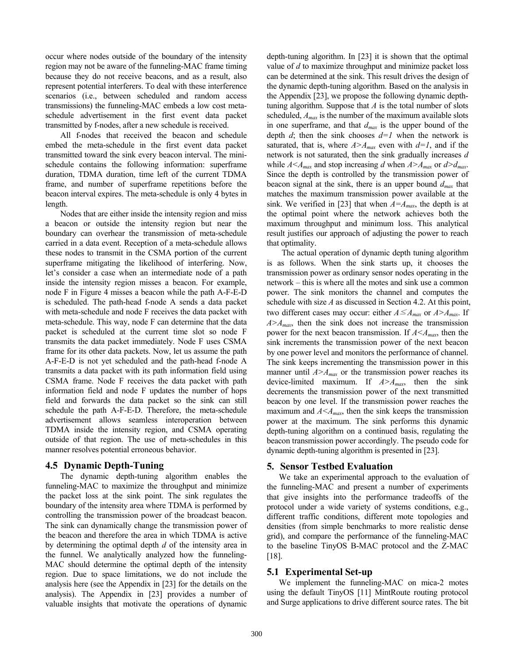occur where nodes outside of the boundary of the intensity region may not be aware of the funneling-MAC frame timing because they do not receive beacons, and as a result, also represent potential interferers. To deal with these interference scenarios (i.e., between scheduled and random access transmissions) the funneling-MAC embeds a low cost metaschedule advertisement in the first event data packet transmitted by f-nodes, after a new schedule is received.

All f-nodes that received the beacon and schedule embed the meta-schedule in the first event data packet transmitted toward the sink every beacon interval. The minischedule contains the following information: superframe duration, TDMA duration, time left of the current TDMA frame, and number of superframe repetitions before the beacon interval expires. The meta-schedule is only 4 bytes in length.

Nodes that are either inside the intensity region and miss a beacon or outside the intensity region but near the boundary can overhear the transmission of meta-schedule carried in a data event. Reception of a meta-schedule allows these nodes to transmit in the CSMA portion of the current superframe mitigating the likelihood of interfering. Now, let's consider a case when an intermediate node of a path inside the intensity region misses a beacon. For example, node F in Figure 4 misses a beacon while the path A-F-E-D is scheduled. The path-head f-node A sends a data packet with meta-schedule and node F receives the data packet with meta-schedule. This way, node F can determine that the data packet is scheduled at the current time slot so node F transmits the data packet immediately. Node F uses CSMA frame for its other data packets. Now, let us assume the path A-F-E-D is not yet scheduled and the path-head f-node A transmits a data packet with its path information field using CSMA frame. Node F receives the data packet with path information field and node F updates the number of hops field and forwards the data packet so the sink can still schedule the path A-F-E-D. Therefore, the meta-schedule advertisement allows seamless interoperation between TDMA inside the intensity region, and CSMA operating outside of that region. The use of meta-schedules in this manner resolves potential erroneous behavior.

## **4.5 Dynamic Depth-Tuning**

The dynamic depth-tuning algorithm enables the funneling-MAC to maximize the throughput and minimize the packet loss at the sink point. The sink regulates the boundary of the intensity area where TDMA is performed by controlling the transmission power of the broadcast beacon. The sink can dynamically change the transmission power of the beacon and therefore the area in which TDMA is active by determining the optimal depth *d* of the intensity area in the funnel. We analytically analyzed how the funneling-MAC should determine the optimal depth of the intensity region. Due to space limitations, we do not include the analysis here (see the Appendix in [23] for the details on the analysis). The Appendix in [23] provides a number of valuable insights that motivate the operations of dynamic

depth-tuning algorithm. In [23] it is shown that the optimal value of *d* to maximize throughput and minimize packet loss can be determined at the sink. This result drives the design of the dynamic depth-tuning algorithm. Based on the analysis in the Appendix [23], we propose the following dynamic depthtuning algorithm. Suppose that *A* is the total number of slots scheduled, *Amax* is the number of the maximum available slots in one superframe, and that  $d_{max}$  is the upper bound of the depth  $d$ ; then the sink chooses  $d=1$  when the network is saturated, that is, where  $A > A_{max}$  even with  $d=1$ , and if the network is not saturated, then the sink gradually increases *d* while  $A \leq A_{max}$  and stop increasing *d* when  $A \geq A_{max}$  or  $d \geq d_{max}$ . Since the depth is controlled by the transmission power of beacon signal at the sink, there is an upper bound *dmax* that matches the maximum transmission power available at the sink. We verified in [23] that when  $A = A_{max}$ , the depth is at the optimal point where the network achieves both the maximum throughput and minimum loss. This analytical result justifies our approach of adjusting the power to reach that optimality.

The actual operation of dynamic depth tuning algorithm is as follows. When the sink starts up, it chooses the transmission power as ordinary sensor nodes operating in the network – this is where all the motes and sink use a common power. The sink monitors the channel and computes the schedule with size *A* as discussed in Section 4.2. At this point, two different cases may occur: either  $A \leq A_{max}$  or  $A > A_{max}$ . If  $A > A_{max}$ , then the sink does not increase the transmission power for the next beacon transmission. If  $A \leq A_{max}$ , then the sink increments the transmission power of the next beacon by one power level and monitors the performance of channel. The sink keeps incrementing the transmission power in this manner until  $A > A_{max}$  or the transmission power reaches its device-limited maximum. If *A>Amax*, then the sink decrements the transmission power of the next transmitted beacon by one level. If the transmission power reaches the maximum and  $A \leq A_{max}$ , then the sink keeps the transmission power at the maximum. The sink performs this dynamic depth-tuning algorithm on a continued basis, regulating the beacon transmission power accordingly. The pseudo code for dynamic depth-tuning algorithm is presented in [23].

#### **5. Sensor Testbed Evaluation**

 We take an experimental approach to the evaluation of the funneling-MAC and present a number of experiments that give insights into the performance tradeoffs of the protocol under a wide variety of systems conditions, e.g., different traffic conditions, different mote topologies and densities (from simple benchmarks to more realistic dense grid), and compare the performance of the funneling-MAC to the baseline TinyOS B-MAC protocol and the Z-MAC [18].

#### **5.1 Experimental Set-up**

We implement the funneling-MAC on mica-2 motes using the default TinyOS [11] MintRoute routing protocol and Surge applications to drive different source rates. The bit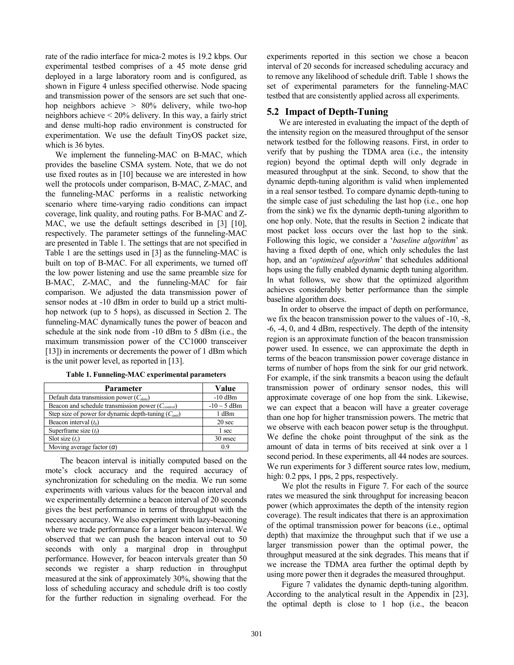rate of the radio interface for mica-2 motes is 19.2 kbps. Our experimental testbed comprises of a 45 mote dense grid deployed in a large laboratory room and is configured, as shown in Figure 4 unless specified otherwise. Node spacing and transmission power of the sensors are set such that onehop neighbors achieve > 80% delivery, while two-hop neighbors achieve < 20% delivery. In this way, a fairly strict and dense multi-hop radio environment is constructed for experimentation. We use the default TinyOS packet size, which is 36 bytes.

 We implement the funneling-MAC on B-MAC, which provides the baseline CSMA system. Note, that we do not use fixed routes as in [10] because we are interested in how well the protocols under comparison, B-MAC, Z-MAC, and the funneling-MAC performs in a realistic networking scenario where time-varying radio conditions can impact coverage, link quality, and routing paths. For B-MAC and Z-MAC, we use the default settings described in [3] [10], respectively. The parameter settings of the funneling-MAC are presented in Table 1. The settings that are not specified in Table 1 are the settings used in [3] as the funneling-MAC is built on top of B-MAC. For all experiments, we turned off the low power listening and use the same preamble size for B-MAC, Z-MAC, and the funneling-MAC for fair comparison. We adjusted the data transmission power of sensor nodes at -10 dBm in order to build up a strict multihop network (up to 5 hops), as discussed in Section 2. The funneling-MAC dynamically tunes the power of beacon and schedule at the sink node from -10 dBm to 5 dBm (i.e., the maximum transmission power of the CC1000 transceiver [13]) in increments or decrements the power of 1 dBm which is the unit power level, as reported in [13].

| Parameter                                                | Value             |
|----------------------------------------------------------|-------------------|
| Default data transmission power $(C_{data})$             | $-10$ dBm         |
| Beacon and schedule transmission power $(C_{control})$   | $-10 \sim 5$ dBm  |
| Step size of power for dynamic depth-tuning $(C_{unit})$ | 1 dBm             |
| Beacon interval $(t_h)$                                  | 20 <sub>sec</sub> |
| Superframe size $(t_f)$                                  | 1 sec             |
| Slot size $(t_s)$                                        | $30$ msec         |
| Moving average factor $(\alpha)$                         | 09                |

**Table 1. Funneling-MAC experimental parameters** 

The beacon interval is initially computed based on the mote's clock accuracy and the required accuracy of synchronization for scheduling on the media. We run some experiments with various values for the beacon interval and we experimentally determine a beacon interval of 20 seconds gives the best performance in terms of throughput with the necessary accuracy. We also experiment with lazy-beaconing where we trade performance for a larger beacon interval. We observed that we can push the beacon interval out to 50 seconds with only a marginal drop in throughput performance. However, for beacon intervals greater than 50 seconds we register a sharp reduction in throughput measured at the sink of approximately 30%, showing that the loss of scheduling accuracy and schedule drift is too costly for the further reduction in signaling overhead. For the

experiments reported in this section we chose a beacon interval of 20 seconds for increased scheduling accuracy and to remove any likelihood of schedule drift. Table 1 shows the set of experimental parameters for the funneling-MAC testbed that are consistently applied across all experiments.

### **5.2 Impact of Depth-Tuning**

We are interested in evaluating the impact of the depth of the intensity region on the measured throughput of the sensor network testbed for the following reasons. First, in order to verify that by pushing the TDMA area (i.e., the intensity region) beyond the optimal depth will only degrade in measured throughput at the sink. Second, to show that the dynamic depth-tuning algorithm is valid when implemented in a real sensor testbed. To compare dynamic depth-tuning to the simple case of just scheduling the last hop (i.e., one hop from the sink) we fix the dynamic depth-tuning algorithm to one hop only. Note, that the results in Section 2 indicate that most packet loss occurs over the last hop to the sink. Following this logic, we consider a '*baseline algorithm*' as having a fixed depth of one, which only schedules the last hop, and an '*optimized algorithm*' that schedules additional hops using the fully enabled dynamic depth tuning algorithm. In what follows, we show that the optimized algorithm achieves considerably better performance than the simple baseline algorithm does.

 In order to observe the impact of depth on performance, we fix the beacon transmission power to the values of -10, -8, -6, -4, 0, and 4 dBm, respectively. The depth of the intensity region is an approximate function of the beacon transmission power used. In essence, we can approximate the depth in terms of the beacon transmission power coverage distance in terms of number of hops from the sink for our grid network. For example, if the sink transmits a beacon using the default transmission power of ordinary sensor nodes, this will approximate coverage of one hop from the sink. Likewise, we can expect that a beacon will have a greater coverage than one hop for higher transmission powers. The metric that we observe with each beacon power setup is the throughput. We define the choke point throughput of the sink as the amount of data in terms of bits received at sink over a 1 second period. In these experiments, all 44 nodes are sources. We run experiments for 3 different source rates low, medium, high:  $0.2$  pps,  $1$  pps,  $2$  pps, respectively.

We plot the results in Figure 7. For each of the source rates we measured the sink throughput for increasing beacon power (which approximates the depth of the intensity region coverage). The result indicates that there is an approximation of the optimal transmission power for beacons (i.e., optimal depth) that maximize the throughput such that if we use a larger transmission power than the optimal power, the throughput measured at the sink degrades. This means that if we increase the TDMA area further the optimal depth by using more power then it degrades the measured throughput.

Figure 7 validates the dynamic depth-tuning algorithm. According to the analytical result in the Appendix in [23], the optimal depth is close to 1 hop (i.e., the beacon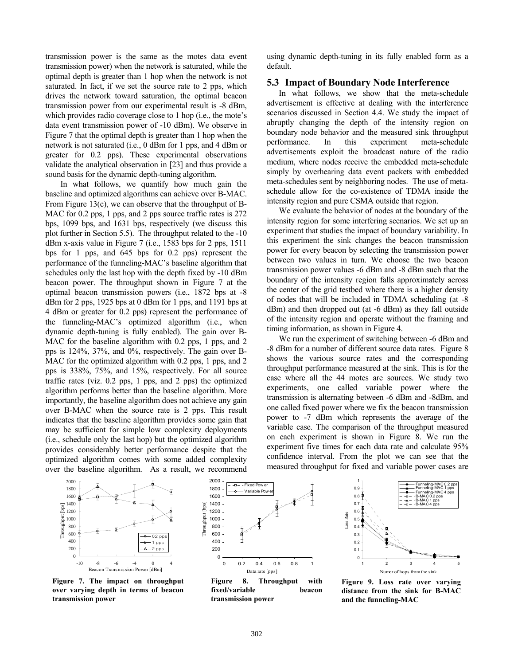transmission power is the same as the motes data event transmission power) when the network is saturated, while the optimal depth is greater than 1 hop when the network is not saturated. In fact, if we set the source rate to 2 pps, which drives the network toward saturation, the optimal beacon transmission power from our experimental result is -8 dBm, which provides radio coverage close to 1 hop (i.e., the mote's data event transmission power of -10 dBm). We observe in Figure 7 that the optimal depth is greater than 1 hop when the network is not saturated (i.e., 0 dBm for 1 pps, and 4 dBm or greater for 0.2 pps). These experimental observations validate the analytical observation in [23] and thus provide a sound basis for the dynamic depth-tuning algorithm.

In what follows, we quantify how much gain the baseline and optimized algorithms can achieve over B-MAC. From Figure 13(c), we can observe that the throughput of B-MAC for 0.2 pps, 1 pps, and 2 pps source traffic rates is 272 bps, 1099 bps, and 1631 bps, respectively (we discuss this plot further in Section 5.5). The throughput related to the -10 dBm x-axis value in Figure 7 (i.e., 1583 bps for 2 pps, 1511 bps for 1 pps, and 645 bps for 0.2 pps) represent the performance of the funneling-MAC's baseline algorithm that schedules only the last hop with the depth fixed by -10 dBm beacon power. The throughput shown in Figure 7 at the optimal beacon transmission powers (i.e., 1872 bps at -8 dBm for 2 pps, 1925 bps at 0 dBm for 1 pps, and 1191 bps at 4 dBm or greater for 0.2 pps) represent the performance of the funneling-MAC's optimized algorithm (i.e., when dynamic depth-tuning is fully enabled). The gain over B-MAC for the baseline algorithm with 0.2 pps, 1 pps, and 2 pps is 124%, 37%, and 0%, respectively. The gain over B-MAC for the optimized algorithm with 0.2 pps, 1 pps, and 2 pps is 338%, 75%, and 15%, respectively. For all source traffic rates (viz. 0.2 pps, 1 pps, and 2 pps) the optimized algorithm performs better than the baseline algorithm. More importantly, the baseline algorithm does not achieve any gain over B-MAC when the source rate is 2 pps. This result indicates that the baseline algorithm provides some gain that may be sufficient for simple low complexity deployments (i.e., schedule only the last hop) but the optimized algorithm provides considerably better performance despite that the optimized algorithm comes with some added complexity over the baseline algorithm. As a result, we recommend using dynamic depth-tuning in its fully enabled form as a default.

#### **5.3 Impact of Boundary Node Interference**

In what follows, we show that the meta-schedule advertisement is effective at dealing with the interference scenarios discussed in Section 4.4. We study the impact of abruptly changing the depth of the intensity region on boundary node behavior and the measured sink throughput performance. In this experiment meta-schedule advertisements exploit the broadcast nature of the radio medium, where nodes receive the embedded meta-schedule simply by overhearing data event packets with embedded meta-schedules sent by neighboring nodes. The use of metaschedule allow for the co-existence of TDMA inside the intensity region and pure CSMA outside that region.

We evaluate the behavior of nodes at the boundary of the intensity region for some interfering scenarios. We set up an experiment that studies the impact of boundary variability. In this experiment the sink changes the beacon transmission power for every beacon by selecting the transmission power between two values in turn. We choose the two beacon transmission power values -6 dBm and -8 dBm such that the boundary of the intensity region falls approximately across the center of the grid testbed where there is a higher density of nodes that will be included in TDMA scheduling (at -8 dBm) and then dropped out (at -6 dBm) as they fall outside of the intensity region and operate without the framing and timing information, as shown in Figure 4.

We run the experiment of switching between -6 dBm and -8 dBm for a number of different source data rates. Figure 8 shows the various source rates and the corresponding throughput performance measured at the sink. This is for the case where all the 44 motes are sources. We study two experiments, one called variable power where the transmission is alternating between -6 dBm and -8dBm, and one called fixed power where we fix the beacon transmission power to -7 dBm which represents the average of the variable case. The comparison of the throughput measured on each experiment is shown in Figure 8. We run the experiment five times for each data rate and calculate 95% confidence interval. From the plot we can see that the measured throughput for fixed and variable power cases are



**Figure 7. The impact on throughput over varying depth in terms of beacon transmission power** 



 $F = F$ ixed Pow

2000

**Figure 8. Throughput with fixed/variable beacon transmission power** 



**Figure 9. Loss rate over varying distance from the sink for B-MAC and the funneling-MAC**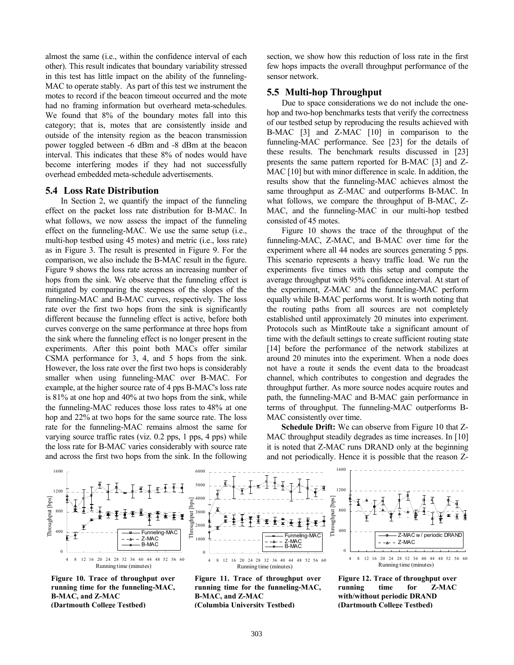almost the same (i.e., within the confidence interval of each other). This result indicates that boundary variability stressed in this test has little impact on the ability of the funneling-MAC to operate stably. As part of this test we instrument the motes to record if the beacon timeout occurred and the mote had no framing information but overheard meta-schedules. We found that 8% of the boundary motes fall into this category; that is, motes that are consistently inside and outside of the intensity region as the beacon transmission power toggled between -6 dBm and -8 dBm at the beacon interval. This indicates that these 8% of nodes would have become interfering modes if they had not successfully overhead embedded meta-schedule advertisements.

#### **5.4 Loss Rate Distribution**

In Section 2, we quantify the impact of the funneling effect on the packet loss rate distribution for B-MAC. In what follows, we now assess the impact of the funneling effect on the funneling-MAC. We use the same setup (i.e., multi-hop testbed using 45 motes) and metric (i.e., loss rate) as in Figure 3. The result is presented in Figure 9. For the comparison, we also include the B-MAC result in the figure. Figure 9 shows the loss rate across an increasing number of hops from the sink. We observe that the funneling effect is mitigated by comparing the steepness of the slopes of the funneling-MAC and B-MAC curves, respectively. The loss rate over the first two hops from the sink is significantly different because the funneling effect is active, before both curves converge on the same performance at three hops from the sink where the funneling effect is no longer present in the experiments. After this point both MACs offer similar CSMA performance for 3, 4, and 5 hops from the sink. However, the loss rate over the first two hops is considerably smaller when using funneling-MAC over B-MAC. For example, at the higher source rate of 4 pps B-MAC's loss rate is 81% at one hop and 40% at two hops from the sink, while the funneling-MAC reduces those loss rates to 48% at one hop and 22% at two hops for the same source rate. The loss rate for the funneling-MAC remains almost the same for varying source traffic rates (viz. 0.2 pps, 1 pps, 4 pps) while the loss rate for B-MAC varies considerably with source rate and across the first two hops from the sink. In the following

section, we show how this reduction of loss rate in the first few hops impacts the overall throughput performance of the sensor network.

## **5.5 Multi-hop Throughput**

Due to space considerations we do not include the onehop and two-hop benchmarks tests that verify the correctness of our testbed setup by reproducing the results achieved with B-MAC [3] and Z-MAC [10] in comparison to the funneling-MAC performance. See [23] for the details of these results. The benchmark results discussed in [23] presents the same pattern reported for B-MAC [3] and Z-MAC [10] but with minor difference in scale. In addition, the results show that the funneling-MAC achieves almost the same throughput as Z-MAC and outperforms B-MAC. In what follows, we compare the throughput of B-MAC, Z-MAC, and the funneling-MAC in our multi-hop testbed consisted of 45 motes.

Figure 10 shows the trace of the throughput of the funneling-MAC, Z-MAC, and B-MAC over time for the experiment where all 44 nodes are sources generating 5 pps. This scenario represents a heavy traffic load. We run the experiments five times with this setup and compute the average throughput with 95% confidence interval. At start of the experiment, Z-MAC and the funneling-MAC perform equally while B-MAC performs worst. It is worth noting that the routing paths from all sources are not completely established until approximately 20 minutes into experiment. Protocols such as MintRoute take a significant amount of time with the default settings to create sufficient routing state [14] before the performance of the network stabilizes at around 20 minutes into the experiment. When a node does not have a route it sends the event data to the broadcast channel, which contributes to congestion and degrades the throughput further. As more source nodes acquire routes and path, the funneling-MAC and B-MAC gain performance in terms of throughput. The funneling-MAC outperforms B-MAC consistently over time.

**Schedule Drift:** We can observe from Figure 10 that Z-MAC throughput steadily degrades as time increases. In [10] it is noted that Z-MAC runs DRAND only at the beginning and not periodically. Hence it is possible that the reason Z-



**Figure 10. Trace of throughput over running time for the funneling-MAC, B-MAC, and Z-MAC (Dartmouth College Testbed)**



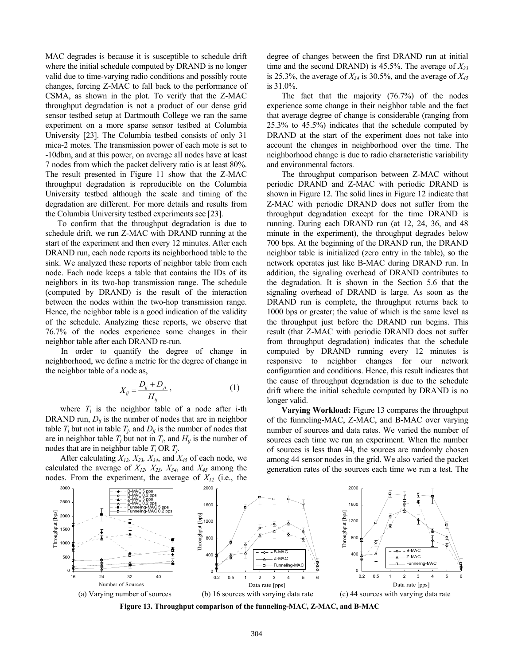MAC degrades is because it is susceptible to schedule drift where the initial schedule computed by DRAND is no longer valid due to time-varying radio conditions and possibly route changes, forcing Z-MAC to fall back to the performance of CSMA, as shown in the plot. To verify that the Z-MAC throughput degradation is not a product of our dense grid sensor testbed setup at Dartmouth College we ran the same experiment on a more sparse sensor testbed at Columbia University [23]. The Columbia testbed consists of only 31 mica-2 motes. The transmission power of each mote is set to -10dbm, and at this power, on average all nodes have at least 7 nodes from which the packet delivery ratio is at least 80%. The result presented in Figure 11 show that the Z-MAC throughput degradation is reproducible on the Columbia University testbed although the scale and timing of the degradation are different. For more details and results from the Columbia University testbed experiments see [23].

To confirm that the throughput degradation is due to schedule drift, we run Z-MAC with DRAND running at the start of the experiment and then every 12 minutes. After each DRAND run, each node reports its neighborhood table to the sink. We analyzed these reports of neighbor table from each node. Each node keeps a table that contains the IDs of its neighbors in its two-hop transmission range. The schedule (computed by DRAND) is the result of the interaction between the nodes within the two-hop transmission range. Hence, the neighbor table is a good indication of the validity of the schedule. Analyzing these reports, we observe that 76.7% of the nodes experience some changes in their neighbor table after each DRAND re-run.

In order to quantify the degree of change in neighborhood, we define a metric for the degree of change in the neighbor table of a node as,

$$
X_{ij} = \frac{D_{ij} + D_{ji}}{H_{ij}},\tag{1}
$$

where  $T_i$  is the neighbor table of a node after i-th DRAND run,  $D_{ij}$  is the number of nodes that are in neighbor table  $T_i$  but not in table  $T_j$ , and  $D_{ji}$  is the number of nodes that are in neighbor table  $T_j$  but not in  $T_i$ , and  $H_{ij}$  is the number of nodes that are in neighbor table  $T_i$  OR  $T_i$ .

After calculating  $X_{12}$ ,  $X_{23}$ ,  $X_{34}$ , and  $X_{45}$  of each node, we calculated the average of  $X_{12}$ ,  $X_{23}$ ,  $X_{34}$ , and  $X_{45}$  among the nodes. From the experiment, the average of *X12* (i.e., the

degree of changes between the first DRAND run at initial time and the second DRAND) is 45.5%. The average of  $X_{23}$ is 25.3%, the average of  $X_{34}$  is 30.5%, and the average of  $X_{45}$ is 31.0%.

The fact that the majority (76.7%) of the nodes experience some change in their neighbor table and the fact that average degree of change is considerable (ranging from 25.3% to 45.5%) indicates that the schedule computed by DRAND at the start of the experiment does not take into account the changes in neighborhood over the time. The neighborhood change is due to radio characteristic variability and environmental factors.

The throughput comparison between Z-MAC without periodic DRAND and Z-MAC with periodic DRAND is shown in Figure 12. The solid lines in Figure 12 indicate that Z-MAC with periodic DRAND does not suffer from the throughput degradation except for the time DRAND is running. During each DRAND run (at 12, 24, 36, and 48 minute in the experiment), the throughput degrades below 700 bps. At the beginning of the DRAND run, the DRAND neighbor table is initialized (zero entry in the table), so the network operates just like B-MAC during DRAND run. In addition, the signaling overhead of DRAND contributes to the degradation. It is shown in the Section 5.6 that the signaling overhead of DRAND is large. As soon as the DRAND run is complete, the throughput returns back to 1000 bps or greater; the value of which is the same level as the throughput just before the DRAND run begins. This result (that Z-MAC with periodic DRAND does not suffer from throughput degradation) indicates that the schedule computed by DRAND running every 12 minutes is responsive to neighbor changes for our network configuration and conditions. Hence, this result indicates that the cause of throughput degradation is due to the schedule drift where the initial schedule computed by DRAND is no longer valid.

**Varying Workload:** Figure 13 compares the throughput of the funneling-MAC, Z-MAC, and B-MAC over varying number of sources and data rates. We varied the number of sources each time we run an experiment. When the number of sources is less than 44, the sources are randomly chosen among 44 sensor nodes in the grid. We also varied the packet generation rates of the sources each time we run a test. The



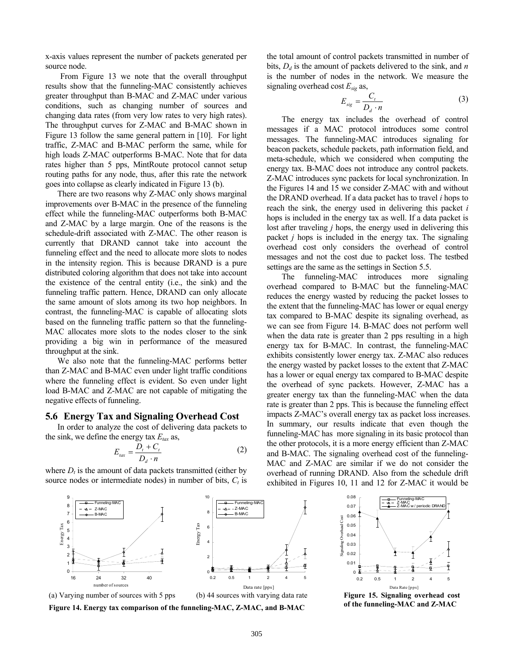x-axis values represent the number of packets generated per source node.

From Figure 13 we note that the overall throughput results show that the funneling-MAC consistently achieves greater throughput than B-MAC and Z-MAC under various conditions, such as changing number of sources and changing data rates (from very low rates to very high rates). The throughput curves for Z-MAC and B-MAC shown in Figure 13 follow the same general pattern in [10]. For light traffic, Z-MAC and B-MAC perform the same, while for high loads Z-MAC outperforms B-MAC. Note that for data rates higher than 5 pps, MintRoute protocol cannot setup routing paths for any node, thus, after this rate the network goes into collapse as clearly indicated in Figure 13 (b).

There are two reasons why Z-MAC only shows marginal improvements over B-MAC in the presence of the funneling effect while the funneling-MAC outperforms both B-MAC and Z-MAC by a large margin. One of the reasons is the schedule-drift associated with Z-MAC. The other reason is currently that DRAND cannot take into account the funneling effect and the need to allocate more slots to nodes in the intensity region. This is because DRAND is a pure distributed coloring algorithm that does not take into account the existence of the central entity (i.e., the sink) and the funneling traffic pattern. Hence, DRAND can only allocate the same amount of slots among its two hop neighbors. In contrast, the funneling-MAC is capable of allocating slots based on the funneling traffic pattern so that the funneling-MAC allocates more slots to the nodes closer to the sink providing a big win in performance of the measured throughput at the sink.

We also note that the funneling-MAC performs better than Z-MAC and B-MAC even under light traffic conditions where the funneling effect is evident. So even under light load B-MAC and Z-MAC are not capable of mitigating the negative effects of funneling.

#### **5.6 Energy Tax and Signaling Overhead Cost**

In order to analyze the cost of delivering data packets to the sink, we define the energy tax  $E_{\text{tar}}$  as,

$$
E_{\text{tax}} = \frac{D_t + C_t}{D_d \cdot n} \tag{2}
$$

where  $D_t$  is the amount of data packets transmitted (either by source nodes or intermediate nodes) in number of bits,  $C_t$  is



**Figure 14. Energy tax comparison of the funneling-MAC, Z-MAC, and B-MAC** 

the total amount of control packets transmitted in number of bits,  $D_d$  is the amount of packets delivered to the sink, and *n* is the number of nodes in the network. We measure the signaling overhead cost *Esig* as,

$$
E_{sig} = \frac{C_t}{D_d \cdot n} \tag{3}
$$

The energy tax includes the overhead of control messages if a MAC protocol introduces some control messages. The funneling-MAC introduces signaling for beacon packets, schedule packets, path information field, and meta-schedule, which we considered when computing the energy tax. B-MAC does not introduce any control packets. Z-MAC introduces sync packets for local synchronization. In the Figures 14 and 15 we consider Z-MAC with and without the DRAND overhead. If a data packet has to travel *i* hops to reach the sink, the energy used in delivering this packet *i*  hops is included in the energy tax as well. If a data packet is lost after traveling *j* hops, the energy used in delivering this packet *j* hops is included in the energy tax. The signaling overhead cost only considers the overhead of control messages and not the cost due to packet loss. The testbed settings are the same as the settings in Section 5.5.

The funneling-MAC introduces more signaling overhead compared to B-MAC but the funneling-MAC reduces the energy wasted by reducing the packet losses to the extent that the funneling-MAC has lower or equal energy tax compared to B-MAC despite its signaling overhead, as we can see from Figure 14. B-MAC does not perform well when the data rate is greater than 2 pps resulting in a high energy tax for B-MAC. In contrast, the funneling-MAC exhibits consistently lower energy tax. Z-MAC also reduces the energy wasted by packet losses to the extent that Z-MAC has a lower or equal energy tax compared to B-MAC despite the overhead of sync packets. However, Z-MAC has a greater energy tax than the funneling-MAC when the data rate is greater than 2 pps. This is because the funneling effect impacts Z-MAC's overall energy tax as packet loss increases. In summary, our results indicate that even though the funneling-MAC has more signaling in its basic protocol than the other protocols, it is a more energy efficient than Z-MAC and B-MAC. The signaling overhead cost of the funneling-MAC and Z-MAC are similar if we do not consider the overhead of running DRAND. Also from the schedule drift exhibited in Figures 10, 11 and 12 for Z-MAC it would be



**Figure 15. Signaling overhead cost of the funneling-MAC and Z-MAC**